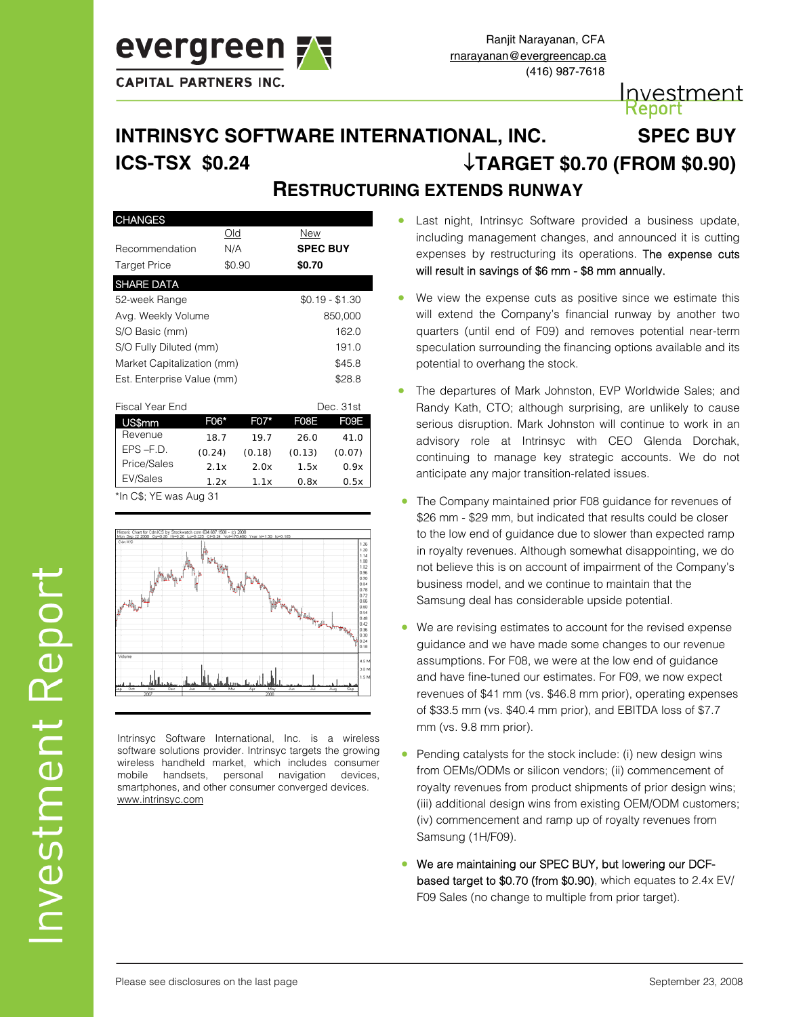

# Investment **deport**

# **RESTRUCTURING EXTENDS RUNWAY INTRINSYC SOFTWARE INTERNATIONAL, INC. SPEC BUY ICS-TSX \$0.24** ↓**TARGET \$0.70 (FROM \$0.90)**

## **CHANGES Old** New Recommendation N/A **SPEC BUY** Target Price \$0.90 **\$0.70** SHARE DATA 52-week Range \$0.19 - \$1.30 Avg. Weekly Volume 850,000 S/O Basic (mm) 162.0 S/O Fully Diluted (mm) 191.0 Market Capitalization (mm)  $$45.8$ Est. Enterprise Value (mm) \$28.8

| Fiscal Year End |        |        | Dec. 31st |        |
|-----------------|--------|--------|-----------|--------|
| US\$mm          | F06*   | F07*   | F08F      | F09F   |
| Revenue         | 18.7   | 197    | 26.0      | 41.0   |
| $EPS - F.D.$    | (0.24) | (0.18) | (0.13)    | (0.07) |
| Price/Sales     | 21x    | 20x    | 1.5x      | 0.9x   |
| EV/Sales        | 1.2x   | 1 1 x  | 0.8x      | 0.5x   |

\*In C\$; YE was Aug 31



Intrinsyc Software International, Inc. is a wireless software solutions provider. Intrinsyc targets the growing wireless handheld market, which includes consumer mobile handsets, personal navigation devices, smartphones, and other consumer converged devices. www.intrinsyc.com

- Last night, Intrinsyc Software provided a business update, including management changes, and announced it is cutting expenses by restructuring its operations. The expense cuts will result in savings of \$6 mm - \$8 mm annually.
- We view the expense cuts as positive since we estimate this will extend the Company's financial runway by another two quarters (until end of F09) and removes potential near-term speculation surrounding the financing options available and its potential to overhang the stock.
- The departures of Mark Johnston, EVP Worldwide Sales; and Randy Kath, CTO; although surprising, are unlikely to cause serious disruption. Mark Johnston will continue to work in an advisory role at Intrinsyc with CEO Glenda Dorchak, continuing to manage key strategic accounts. We do not anticipate any major transition-related issues.
- The Company maintained prior F08 guidance for revenues of \$26 mm - \$29 mm, but indicated that results could be closer to the low end of guidance due to slower than expected ramp in royalty revenues. Although somewhat disappointing, we do not believe this is on account of impairment of the Company's business model, and we continue to maintain that the Samsung deal has considerable upside potential.
- We are revising estimates to account for the revised expense guidance and we have made some changes to our revenue assumptions. For F08, we were at the low end of guidance and have fine-tuned our estimates. For F09, we now expect revenues of \$41 mm (vs. \$46.8 mm prior), operating expenses of \$33.5 mm (vs. \$40.4 mm prior), and EBITDA loss of \$7.7 mm (vs. 9.8 mm prior).
- Pending catalysts for the stock include: (i) new design wins from OEMs/ODMs or silicon vendors; (ii) commencement of royalty revenues from product shipments of prior design wins; (iii) additional design wins from existing OEM/ODM customers; (iv) commencement and ramp up of royalty revenues from Samsung (1H/F09).
- We are maintaining our SPEC BUY, but lowering our DCFbased target to \$0.70 (from \$0.90), which equates to 2.4x EV/ F09 Sales (no change to multiple from prior target).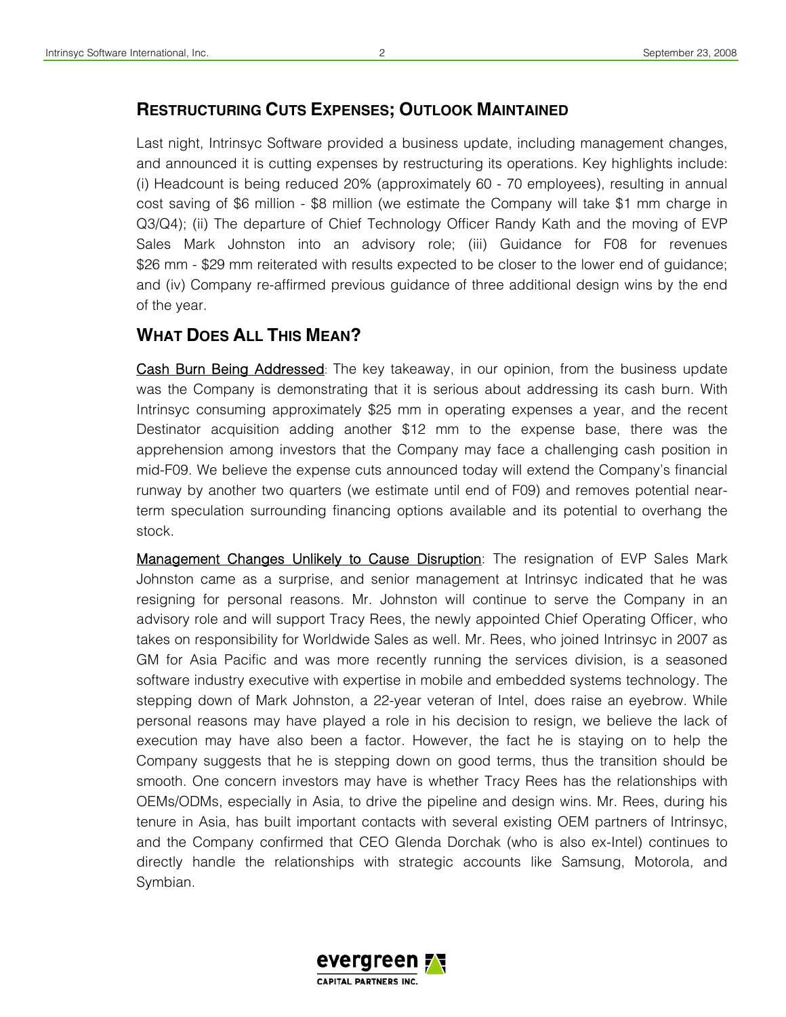# **RESTRUCTURING CUTS EXPENSES; OUTLOOK MAINTAINED**

Last night, Intrinsyc Software provided a business update, including management changes, and announced it is cutting expenses by restructuring its operations. Key highlights include: (i) Headcount is being reduced 20% (approximately 60 - 70 employees), resulting in annual cost saving of \$6 million - \$8 million (we estimate the Company will take \$1 mm charge in Q3/Q4); (ii) The departure of Chief Technology Officer Randy Kath and the moving of EVP Sales Mark Johnston into an advisory role; (iii) Guidance for F08 for revenues \$26 mm - \$29 mm reiterated with results expected to be closer to the lower end of guidance; and (iv) Company re-affirmed previous guidance of three additional design wins by the end of the year.

# **WHAT DOES ALL THIS MEAN?**

Cash Burn Being Addressed: The key takeaway, in our opinion, from the business update was the Company is demonstrating that it is serious about addressing its cash burn. With Intrinsyc consuming approximately \$25 mm in operating expenses a year, and the recent Destinator acquisition adding another \$12 mm to the expense base, there was the apprehension among investors that the Company may face a challenging cash position in mid-F09. We believe the expense cuts announced today will extend the Company's financial runway by another two quarters (we estimate until end of F09) and removes potential nearterm speculation surrounding financing options available and its potential to overhang the stock.

**Management Changes Unlikely to Cause Disruption:** The resignation of EVP Sales Mark Johnston came as a surprise, and senior management at Intrinsyc indicated that he was resigning for personal reasons. Mr. Johnston will continue to serve the Company in an advisory role and will support Tracy Rees, the newly appointed Chief Operating Officer, who takes on responsibility for Worldwide Sales as well. Mr. Rees, who joined Intrinsyc in 2007 as GM for Asia Pacific and was more recently running the services division, is a seasoned software industry executive with expertise in mobile and embedded systems technology. The stepping down of Mark Johnston, a 22-year veteran of Intel, does raise an eyebrow. While personal reasons may have played a role in his decision to resign, we believe the lack of execution may have also been a factor. However, the fact he is staying on to help the Company suggests that he is stepping down on good terms, thus the transition should be smooth. One concern investors may have is whether Tracy Rees has the relationships with OEMs/ODMs, especially in Asia, to drive the pipeline and design wins. Mr. Rees, during his tenure in Asia, has built important contacts with several existing OEM partners of Intrinsyc, and the Company confirmed that CEO Glenda Dorchak (who is also ex-Intel) continues to directly handle the relationships with strategic accounts like Samsung, Motorola, and Symbian.

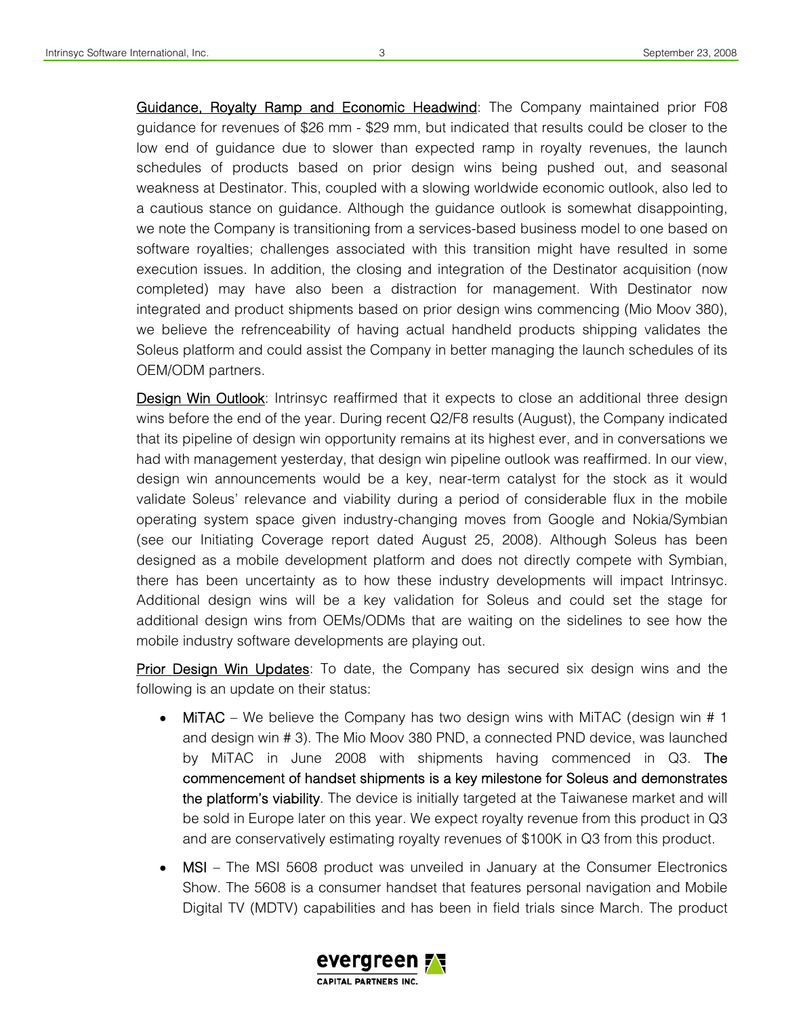Guidance, Royalty Ramp and Economic Headwind: The Company maintained prior F08 guidance for revenues of \$26 mm - \$29 mm, but indicated that results could be closer to the low end of guidance due to slower than expected ramp in royalty revenues, the launch schedules of products based on prior design wins being pushed out, and seasonal weakness at Destinator. This, coupled with a slowing worldwide economic outlook, also led to a cautious stance on guidance. Although the guidance outlook is somewhat disappointing, we note the Company is transitioning from a services-based business model to one based on software royalties; challenges associated with this transition might have resulted in some execution issues. In addition, the closing and integration of the Destinator acquisition (now completed) may have also been a distraction for management. With Destinator now integrated and product shipments based on prior design wins commencing (Mio Moov 380), we believe the refrenceability of having actual handheld products shipping validates the Soleus platform and could assist the Company in better managing the launch schedules of its OEM/ODM partners.

**Design Win Outlook:** Intrinsyc reaffirmed that it expects to close an additional three design wins before the end of the year. During recent Q2/F8 results (August), the Company indicated that its pipeline of design win opportunity remains at its highest ever, and in conversations we had with management yesterday, that design win pipeline outlook was reaffirmed. In our view, design win announcements would be a key, near-term catalyst for the stock as it would validate Soleus' relevance and viability during a period of considerable flux in the mobile operating system space given industry-changing moves from Google and Nokia/Symbian (see our Initiating Coverage report dated August 25, 2008). Although Soleus has been designed as a mobile development platform and does not directly compete with Symbian, there has been uncertainty as to how these industry developments will impact Intrinsyc. Additional design wins will be a key validation for Soleus and could set the stage for additional design wins from OEMs/ODMs that are waiting on the sidelines to see how the mobile industry software developments are playing out.

**Prior Design Win Updates**: To date, the Company has secured six design wins and the following is an update on their status:

- MiTAC We believe the Company has two design wins with MiTAC (design win # 1 and design win # 3). The Mio Moov 380 PND, a connected PND device, was launched by MiTAC in June 2008 with shipments having commenced in Q3. The commencement of handset shipments is a key milestone for Soleus and demonstrates the platform's viability. The device is initially targeted at the Taiwanese market and will be sold in Europe later on this year. We expect royalty revenue from this product in Q3 and are conservatively estimating royalty revenues of \$100K in Q3 from this product.
- MSI The MSI 5608 product was unveiled in January at the Consumer Electronics Show. The 5608 is a consumer handset that features personal navigation and Mobile Digital TV (MDTV) capabilities and has been in field trials since March. The product

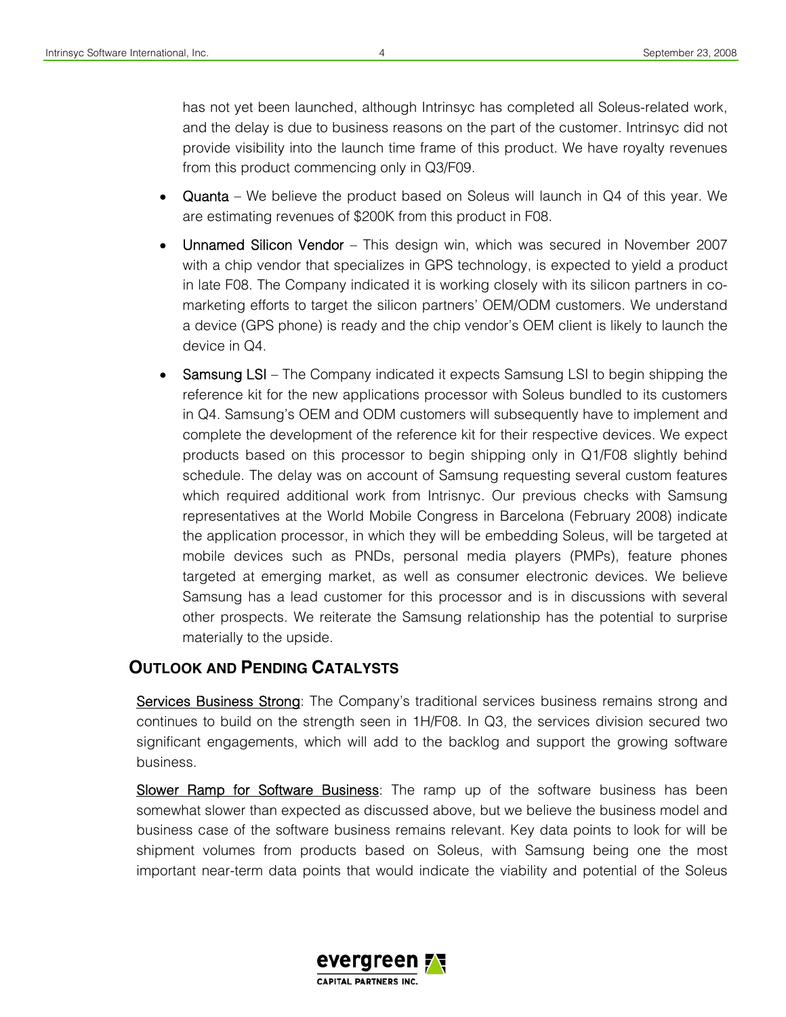has not yet been launched, although Intrinsyc has completed all Soleus-related work, and the delay is due to business reasons on the part of the customer. Intrinsyc did not provide visibility into the launch time frame of this product. We have royalty revenues from this product commencing only in Q3/F09.

- Quanta We believe the product based on Soleus will launch in  $Q4$  of this year. We are estimating revenues of \$200K from this product in F08.
- Unnamed Silicon Vendor This design win, which was secured in November 2007 with a chip vendor that specializes in GPS technology, is expected to yield a product in late F08. The Company indicated it is working closely with its silicon partners in comarketing efforts to target the silicon partners' OEM/ODM customers. We understand a device (GPS phone) is ready and the chip vendor's OEM client is likely to launch the device in Q4.
- Samsung LSI The Company indicated it expects Samsung LSI to begin shipping the reference kit for the new applications processor with Soleus bundled to its customers in Q4. Samsung's OEM and ODM customers will subsequently have to implement and complete the development of the reference kit for their respective devices. We expect products based on this processor to begin shipping only in Q1/F08 slightly behind schedule. The delay was on account of Samsung requesting several custom features which required additional work from Intrisnyc. Our previous checks with Samsung representatives at the World Mobile Congress in Barcelona (February 2008) indicate the application processor, in which they will be embedding Soleus, will be targeted at mobile devices such as PNDs, personal media players (PMPs), feature phones targeted at emerging market, as well as consumer electronic devices. We believe Samsung has a lead customer for this processor and is in discussions with several other prospects. We reiterate the Samsung relationship has the potential to surprise materially to the upside.

# **OUTLOOK AND PENDING CATALYSTS**

Services Business Strong: The Company's traditional services business remains strong and continues to build on the strength seen in 1H/F08. In Q3, the services division secured two significant engagements, which will add to the backlog and support the growing software business.

Slower Ramp for Software Business: The ramp up of the software business has been somewhat slower than expected as discussed above, but we believe the business model and business case of the software business remains relevant. Key data points to look for will be shipment volumes from products based on Soleus, with Samsung being one the most important near-term data points that would indicate the viability and potential of the Soleus

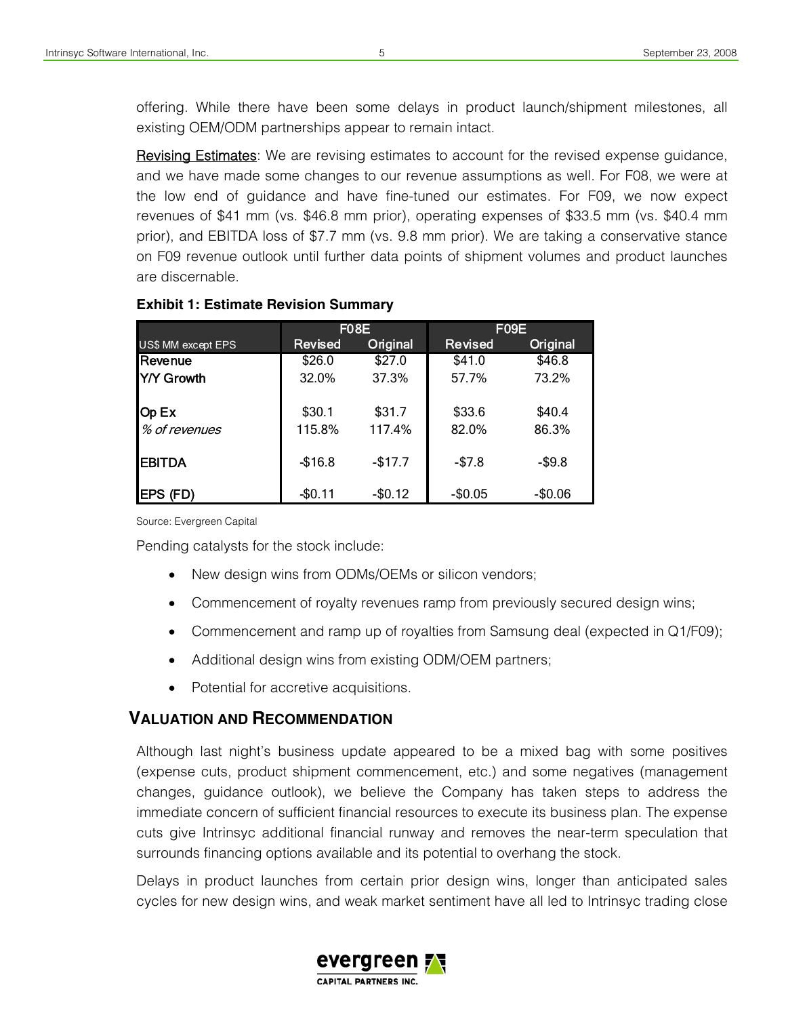offering. While there have been some delays in product launch/shipment milestones, all existing OEM/ODM partnerships appear to remain intact.

Revising Estimates: We are revising estimates to account for the revised expense guidance, and we have made some changes to our revenue assumptions as well. For F08, we were at the low end of guidance and have fine-tuned our estimates. For F09, we now expect revenues of \$41 mm (vs. \$46.8 mm prior), operating expenses of \$33.5 mm (vs. \$40.4 mm prior), and EBITDA loss of \$7.7 mm (vs. 9.8 mm prior). We are taking a conservative stance on F09 revenue outlook until further data points of shipment volumes and product launches are discernable.

|                    | F <sub>0</sub> 8E |          | F09E           |          |
|--------------------|-------------------|----------|----------------|----------|
| US\$ MM except EPS | <b>Revised</b>    | Original | <b>Revised</b> | Original |
| <b>Revenue</b>     | \$26.0            | \$27.0   | \$41.0         | \$46.8   |
| IY/Y Growth        | 32.0%             | 37.3%    | 57.7%          | 73.2%    |
| Op Ex              | \$30.1            | \$31.7   | \$33.6         | \$40.4   |
| % of revenues      | 115.8%            | 117.4%   | 82.0%          | 86.3%    |
| <b>EBITDA</b>      | $-$16.8$          | $-$17.7$ | $-$7.8$        | $-$9.8$  |
| EPS (FD)           | $-$0.11$          | $-$0.12$ | $-$0.05$       | $-$0.06$ |

### **Exhibit 1: Estimate Revision Summary**

Source: Evergreen Capital

Pending catalysts for the stock include:

- New design wins from ODMs/OEMs or silicon vendors;
- Commencement of royalty revenues ramp from previously secured design wins;
- Commencement and ramp up of royalties from Samsung deal (expected in Q1/F09);
- Additional design wins from existing ODM/OEM partners;
- Potential for accretive acquisitions.

# **VALUATION AND RECOMMENDATION**

Although last night's business update appeared to be a mixed bag with some positives (expense cuts, product shipment commencement, etc.) and some negatives (management changes, guidance outlook), we believe the Company has taken steps to address the immediate concern of sufficient financial resources to execute its business plan. The expense cuts give Intrinsyc additional financial runway and removes the near-term speculation that surrounds financing options available and its potential to overhang the stock.

Delays in product launches from certain prior design wins, longer than anticipated sales cycles for new design wins, and weak market sentiment have all led to Intrinsyc trading close



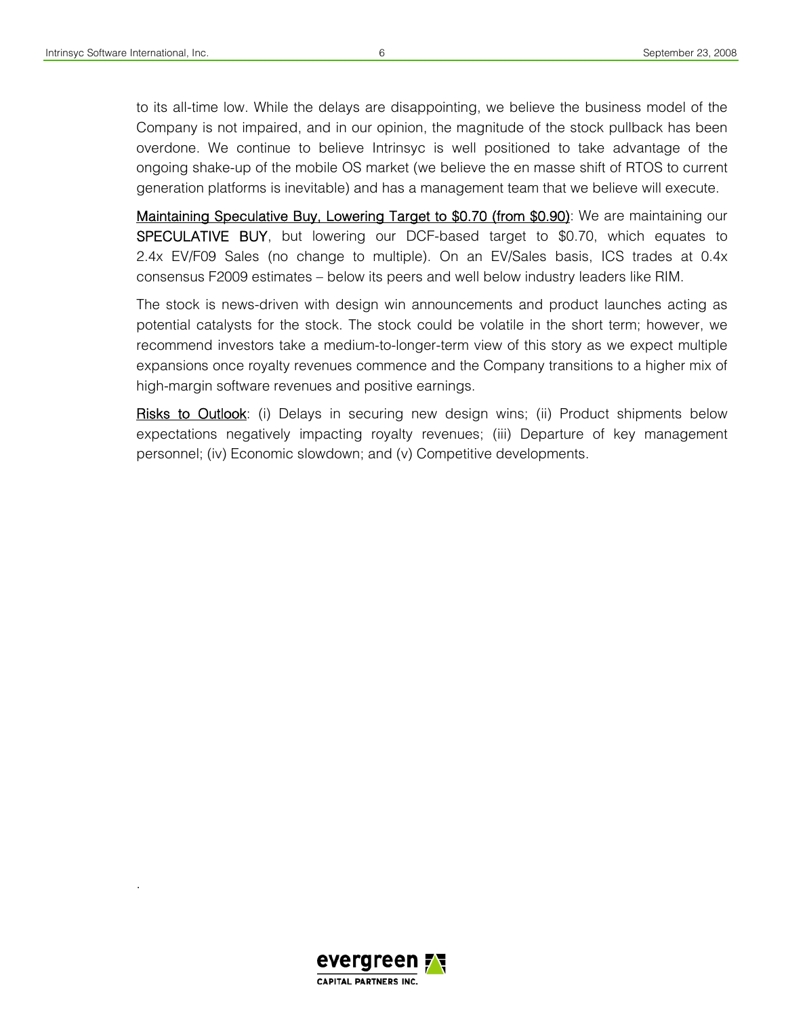.

to its all-time low. While the delays are disappointing, we believe the business model of the Company is not impaired, and in our opinion, the magnitude of the stock pullback has been overdone. We continue to believe Intrinsyc is well positioned to take advantage of the ongoing shake-up of the mobile OS market (we believe the en masse shift of RTOS to current generation platforms is inevitable) and has a management team that we believe will execute.

Maintaining Speculative Buy, Lowering Target to \$0.70 (from \$0.90): We are maintaining our SPECULATIVE BUY, but lowering our DCF-based target to \$0.70, which equates to 2.4x EV/F09 Sales (no change to multiple). On an EV/Sales basis, ICS trades at 0.4x consensus F2009 estimates – below its peers and well below industry leaders like RIM.

The stock is news-driven with design win announcements and product launches acting as potential catalysts for the stock. The stock could be volatile in the short term; however, we recommend investors take a medium-to-longer-term view of this story as we expect multiple expansions once royalty revenues commence and the Company transitions to a higher mix of high-margin software revenues and positive earnings.

Risks to Outlook: (i) Delays in securing new design wins; (ii) Product shipments below expectations negatively impacting royalty revenues; (iii) Departure of key management personnel; (iv) Economic slowdown; and (v) Competitive developments.